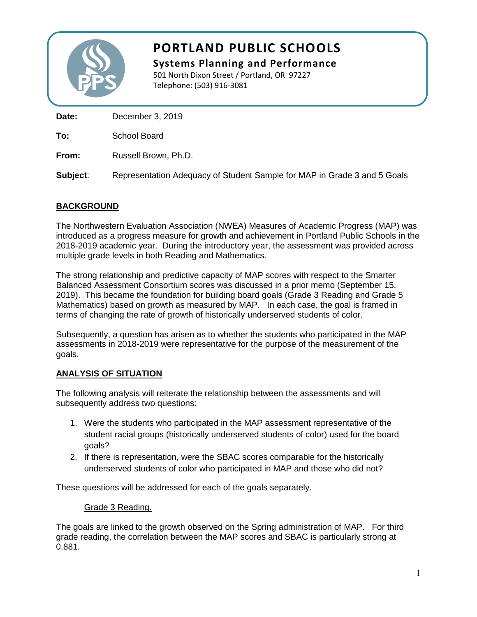

# **PORTLAND PUBLIC SCHOOLS**

**Systems Planning and Performance** 501 North Dixon Street / Portland, OR 97227 Telephone: (503) 916-3081

| Date:    | December 3, 2019                                                         |
|----------|--------------------------------------------------------------------------|
| To:      | School Board                                                             |
| From:    | Russell Brown, Ph.D.                                                     |
| Subject: | Representation Adequacy of Student Sample for MAP in Grade 3 and 5 Goals |

## **BACKGROUND**

The Northwestern Evaluation Association (NWEA) Measures of Academic Progress (MAP) was introduced as a progress measure for growth and achievement in Portland Public Schools in the 2018-2019 academic year. During the introductory year, the assessment was provided across multiple grade levels in both Reading and Mathematics.

The strong relationship and predictive capacity of MAP scores with respect to the Smarter Balanced Assessment Consortium scores was discussed in a prior memo (September 15, 2019). This became the foundation for building board goals (Grade 3 Reading and Grade 5 Mathematics) based on growth as measured by MAP. In each case, the goal is framed in terms of changing the rate of growth of historically underserved students of color.

Subsequently, a question has arisen as to whether the students who participated in the MAP assessments in 2018-2019 were representative for the purpose of the measurement of the goals.

### **ANALYSIS OF SITUATION**

The following analysis will reiterate the relationship between the assessments and will subsequently address two questions:

- 1. Were the students who participated in the MAP assessment representative of the student racial groups (historically underserved students of color) used for the board goals?
- 2. If there is representation, were the SBAC scores comparable for the historically underserved students of color who participated in MAP and those who did not?

These questions will be addressed for each of the goals separately.

### Grade 3 Reading.

The goals are linked to the growth observed on the Spring administration of MAP. For third grade reading, the correlation between the MAP scores and SBAC is particularly strong at 0.881.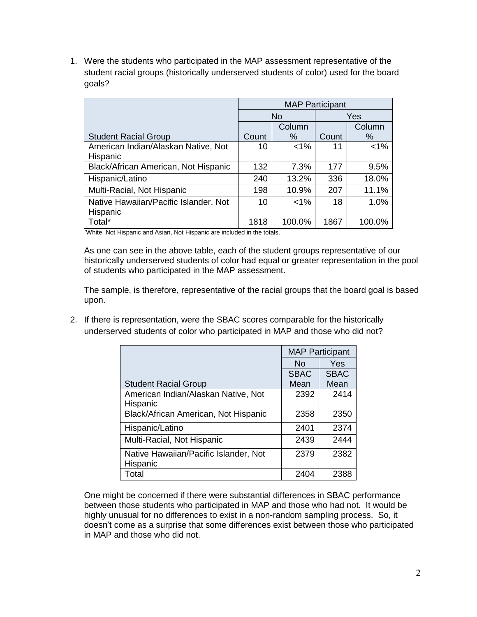1. Were the students who participated in the MAP assessment representative of the student racial groups (historically underserved students of color) used for the board goals?

|                                       | <b>MAP Participant</b> |         |       |         |
|---------------------------------------|------------------------|---------|-------|---------|
|                                       | <b>No</b>              |         | Yes   |         |
|                                       |                        | Column  |       | Column  |
| <b>Student Racial Group</b>           | Count                  | $\%$    | Count | ℅       |
| American Indian/Alaskan Native, Not   | 10                     | $< 1\%$ | 11    | $< 1\%$ |
| Hispanic                              |                        |         |       |         |
| Black/African American, Not Hispanic  | 132                    | 7.3%    | 177   | 9.5%    |
| Hispanic/Latino                       | 240                    | 13.2%   | 336   | 18.0%   |
| Multi-Racial, Not Hispanic            | 198                    | 10.9%   | 207   | 11.1%   |
| Native Hawaiian/Pacific Islander, Not | 10                     | $< 1\%$ | 18    | 1.0%    |
| Hispanic                              |                        |         |       |         |
| Total*                                | 1818                   | 100.0%  | 1867  | 100.0%  |

`White, Not Hispanic and Asian, Not Hispanic are included in the totals.

As one can see in the above table, each of the student groups representative of our historically underserved students of color had equal or greater representation in the pool of students who participated in the MAP assessment.

The sample, is therefore, representative of the racial groups that the board goal is based upon.

2. If there is representation, were the SBAC scores comparable for the historically underserved students of color who participated in MAP and those who did not?

|                                       | <b>MAP Participant</b> |             |  |
|---------------------------------------|------------------------|-------------|--|
|                                       | <b>No</b>              | Yes         |  |
|                                       | <b>SBAC</b>            | <b>SBAC</b> |  |
| <b>Student Racial Group</b>           | Mean                   | Mean        |  |
| American Indian/Alaskan Native, Not   | 2392                   | 2414        |  |
| Hispanic                              |                        |             |  |
| Black/African American, Not Hispanic  | 2358                   | 2350        |  |
| Hispanic/Latino                       | 2401                   | 2374        |  |
| Multi-Racial, Not Hispanic            | 2439                   | 2444        |  |
| Native Hawaiian/Pacific Islander, Not | 2379                   | 2382        |  |
| Hispanic                              |                        |             |  |
| Total                                 | 2404                   | 2388        |  |

One might be concerned if there were substantial differences in SBAC performance between those students who participated in MAP and those who had not. It would be highly unusual for no differences to exist in a non-random sampling process. So, it doesn't come as a surprise that some differences exist between those who participated in MAP and those who did not.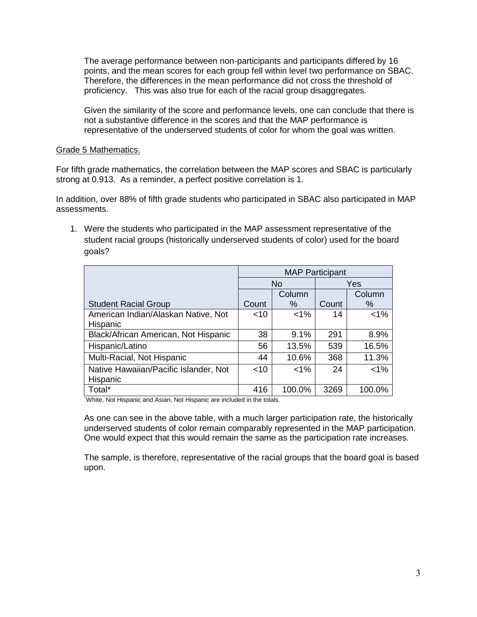The average performance between non-participants and participants differed by 16 points, and the mean scores for each group fell within level two performance on SBAC. Therefore, the differences in the mean performance did not cross the threshold of proficiency. This was also true for each of the racial group disaggregates.

Given the similarity of the score and performance levels, one can conclude that there is not a substantive difference in the scores and that the MAP performance is representative of the underserved students of color for whom the goal was written.

#### Grade 5 Mathematics.

For fifth grade mathematics, the correlation between the MAP scores and SBAC is particularly strong at 0.913. As a reminder, a perfect positive correlation is 1.

In addition, over 88% of fifth grade students who participated in SBAC also participated in MAP assessments.

1. Were the students who participated in the MAP assessment representative of the student racial groups (historically underserved students of color) used for the board goals?

|                                       | <b>MAP Participant</b> |         |       |         |
|---------------------------------------|------------------------|---------|-------|---------|
|                                       | <b>No</b>              |         | Yes   |         |
|                                       |                        | Column  |       | Column  |
| <b>Student Racial Group</b>           | Count                  | %       | Count | ℅       |
| American Indian/Alaskan Native, Not   | $<$ 10                 | $1\%$   | 14    | $< 1\%$ |
| Hispanic                              |                        |         |       |         |
| Black/African American, Not Hispanic  | 38                     | 9.1%    | 291   | 8.9%    |
| Hispanic/Latino                       | 56                     | 13.5%   | 539   | 16.5%   |
| Multi-Racial, Not Hispanic            | 44                     | 10.6%   | 368   | 11.3%   |
| Native Hawaiian/Pacific Islander, Not | $<$ 10                 | $< 1\%$ | 24    | $< 1\%$ |
| Hispanic                              |                        |         |       |         |
| Total*                                | 416                    | 100.0%  | 3269  | 100.0%  |

`White, Not Hispanic and Asian, Not Hispanic are included in the totals.

As one can see in the above table, with a much larger participation rate, the historically underserved students of color remain comparably represented in the MAP participation. One would expect that this would remain the same as the participation rate increases.

The sample, is therefore, representative of the racial groups that the board goal is based upon.